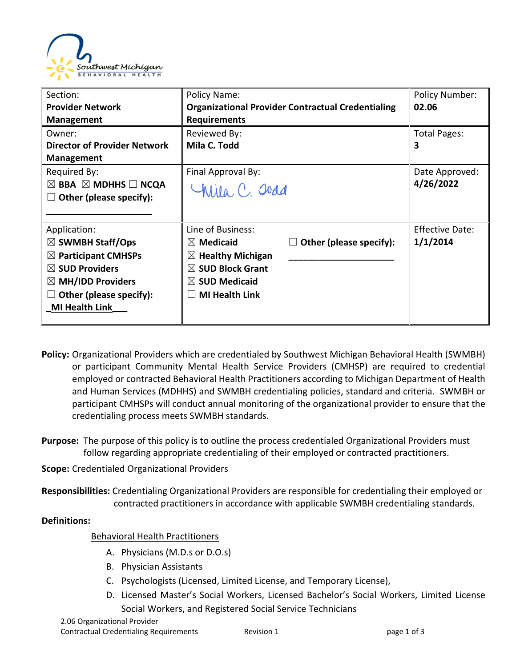

| Section:                                      | Policy Name:                                             |                                | <b>Policy Number:</b>  |
|-----------------------------------------------|----------------------------------------------------------|--------------------------------|------------------------|
| <b>Provider Network</b>                       | <b>Organizational Provider Contractual Credentialing</b> |                                | 02.06                  |
| <b>Management</b>                             | <b>Requirements</b>                                      |                                |                        |
| Owner:                                        | Reviewed By:                                             |                                | Total Pages:           |
| <b>Director of Provider Network</b>           | Mila C. Todd                                             |                                | 3                      |
| <b>Management</b>                             |                                                          |                                |                        |
| Required By:                                  | Final Approval By:                                       |                                | Date Approved:         |
| $\boxtimes$ BBA $\boxtimes$ MDHHS $\Box$ NCQA | Willa, C. Joad                                           |                                | 4/26/2022              |
| Other (please specify):                       |                                                          |                                |                        |
|                                               |                                                          |                                |                        |
| Application:                                  | Line of Business:                                        |                                | <b>Effective Date:</b> |
| $\boxtimes$ SWMBH Staff/Ops                   | $\boxtimes$ Medicaid                                     | $\Box$ Other (please specify): | 1/1/2014               |
| $\boxtimes$ Participant CMHSPs                | $\boxtimes$ Healthy Michigan                             |                                |                        |
| $\boxtimes$ SUD Providers                     | $\boxtimes$ SUD Block Grant                              |                                |                        |
| $\boxtimes$ MH/IDD Providers                  | $\boxtimes$ SUD Medicaid                                 |                                |                        |
| Other (please specify):                       | <b>MI Health Link</b>                                    |                                |                        |
| <b>MI Health Link</b>                         |                                                          |                                |                        |
|                                               |                                                          |                                |                        |

- **Policy:** Organizational Providers which are credentialed by Southwest Michigan Behavioral Health (SWMBH) or participant Community Mental Health Service Providers (CMHSP) are required to credential employed or contracted Behavioral Health Practitioners according to Michigan Department of Health and Human Services (MDHHS) and SWMBH credentialing policies, standard and criteria. SWMBH or participant CMHSPs will conduct annual monitoring of the organizational provider to ensure that the credentialing process meets SWMBH standards.
- **Purpose:** The purpose of this policy is to outline the process credentialed Organizational Providers must follow regarding appropriate credentialing of their employed or contracted practitioners.

**Scope:** Credentialed Organizational Providers

**Responsibilities:** Credentialing Organizational Providers are responsible for credentialing their employed or contracted practitioners in accordance with applicable SWMBH credentialing standards.

## **Definitions:**

Behavioral Health Practitioners

- A. Physicians (M.D.s or D.O.s)
- B. Physician Assistants
- C. Psychologists (Licensed, Limited License, and Temporary License),
- D. Licensed Master's Social Workers, Licensed Bachelor's Social Workers, Limited License Social Workers, and Registered Social Service Technicians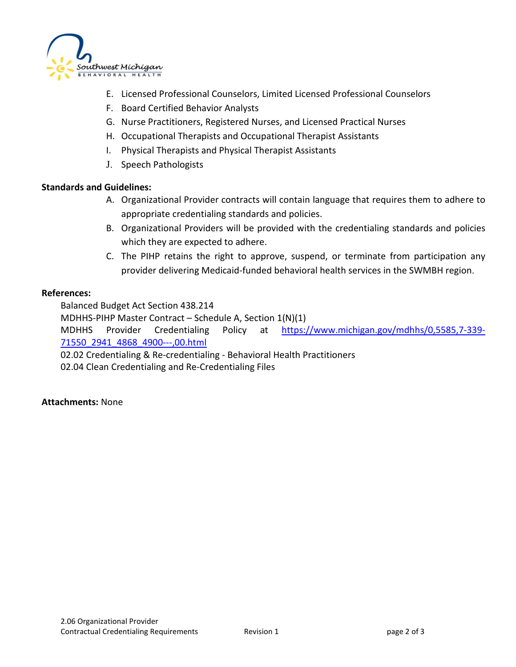

- E. Licensed Professional Counselors, Limited Licensed Professional Counselors
- F. Board Certified Behavior Analysts
- G. Nurse Practitioners, Registered Nurses, and Licensed Practical Nurses
- H. Occupational Therapists and Occupational Therapist Assistants
- I. Physical Therapists and Physical Therapist Assistants
- J. Speech Pathologists

## **Standards and Guidelines:**

- A. Organizational Provider contracts will contain language that requires them to adhere to appropriate credentialing standards and policies.
- B. Organizational Providers will be provided with the credentialing standards and policies which they are expected to adhere.
- C. The PIHP retains the right to approve, suspend, or terminate from participation any provider delivering Medicaid-funded behavioral health services in the SWMBH region.

## **References:**

Balanced Budget Act Section 438.214

MDHHS-PIHP Master Contract – Schedule A, Section 1(N)(1)

MDHHS Provider Credentialing Policy at [https://www.michigan.gov/mdhhs/0,5585,7-339-](https://www.michigan.gov/mdhhs/0,5585,7-339-71550_2941_4868_4900---,00.html) [71550\\_2941\\_4868\\_4900---,00.html](https://www.michigan.gov/mdhhs/0,5585,7-339-71550_2941_4868_4900---,00.html) 

02.02 Credentialing & Re-credentialing - Behavioral Health Practitioners

02.04 Clean Credentialing and Re-Credentialing Files

**Attachments:** None